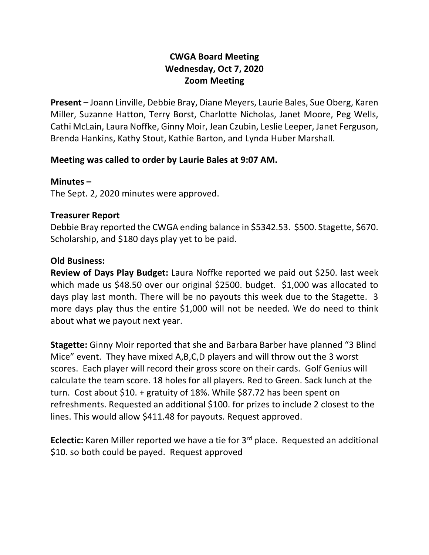# **CWGA Board Meeting Wednesday, Oct 7, 2020 Zoom Meeting**

**Present –** Joann Linville, Debbie Bray, Diane Meyers, Laurie Bales, Sue Oberg, Karen Miller, Suzanne Hatton, Terry Borst, Charlotte Nicholas, Janet Moore, Peg Wells, Cathi McLain, Laura Noffke, Ginny Moir, Jean Czubin, Leslie Leeper, Janet Ferguson, Brenda Hankins, Kathy Stout, Kathie Barton, and Lynda Huber Marshall.

## **Meeting was called to order by Laurie Bales at 9:07 AM.**

### **Minutes –**

The Sept. 2, 2020 minutes were approved.

### **Treasurer Report**

Debbie Bray reported the CWGA ending balance in \$5342.53. \$500. Stagette, \$670. Scholarship, and \$180 days play yet to be paid.

### **Old Business:**

**Review of Days Play Budget:** Laura Noffke reported we paid out \$250. last week which made us \$48.50 over our original \$2500. budget. \$1,000 was allocated to days play last month. There will be no payouts this week due to the Stagette. 3 more days play thus the entire \$1,000 will not be needed. We do need to think about what we payout next year.

**Stagette:** Ginny Moir reported that she and Barbara Barber have planned "3 Blind Mice" event. They have mixed A,B,C,D players and will throw out the 3 worst scores. Each player will record their gross score on their cards. Golf Genius will calculate the team score. 18 holes for all players. Red to Green. Sack lunch at the turn. Cost about \$10. + gratuity of 18%. While \$87.72 has been spent on refreshments. Requested an additional \$100. for prizes to include 2 closest to the lines. This would allow \$411.48 for payouts. Request approved.

**Eclectic:** Karen Miller reported we have a tie for 3rd place. Requested an additional \$10. so both could be payed. Request approved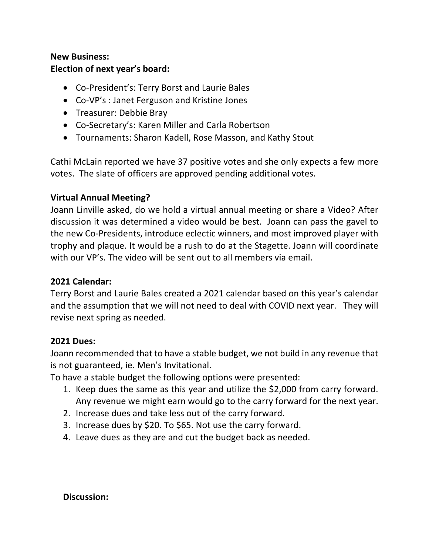# **New Business: Election of next year's board:**

- Co-President's: Terry Borst and Laurie Bales
- Co-VP's : Janet Ferguson and Kristine Jones
- Treasurer: Debbie Bray
- Co-Secretary's: Karen Miller and Carla Robertson
- Tournaments: Sharon Kadell, Rose Masson, and Kathy Stout

Cathi McLain reported we have 37 positive votes and she only expects a few more votes. The slate of officers are approved pending additional votes.

### **Virtual Annual Meeting?**

Joann Linville asked, do we hold a virtual annual meeting or share a Video? After discussion it was determined a video would be best. Joann can pass the gavel to the new Co-Presidents, introduce eclectic winners, and most improved player with trophy and plaque. It would be a rush to do at the Stagette. Joann will coordinate with our VP's. The video will be sent out to all members via email.

### **2021 Calendar:**

Terry Borst and Laurie Bales created a 2021 calendar based on this year's calendar and the assumption that we will not need to deal with COVID next year. They will revise next spring as needed.

#### **2021 Dues:**

Joann recommended that to have a stable budget, we not build in any revenue that is not guaranteed, ie. Men's Invitational.

To have a stable budget the following options were presented:

- 1. Keep dues the same as this year and utilize the \$2,000 from carry forward. Any revenue we might earn would go to the carry forward for the next year.
- 2. Increase dues and take less out of the carry forward.
- 3. Increase dues by \$20. To \$65. Not use the carry forward.
- 4. Leave dues as they are and cut the budget back as needed.

#### **Discussion:**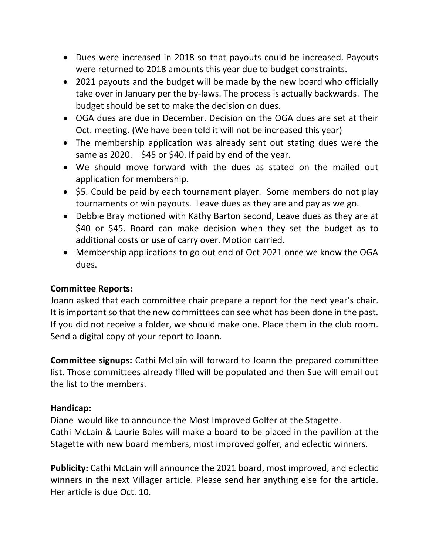- Dues were increased in 2018 so that payouts could be increased. Payouts were returned to 2018 amounts this year due to budget constraints.
- 2021 payouts and the budget will be made by the new board who officially take over in January per the by-laws. The process is actually backwards. The budget should be set to make the decision on dues.
- OGA dues are due in December. Decision on the OGA dues are set at their Oct. meeting. (We have been told it will not be increased this year)
- The membership application was already sent out stating dues were the same as 2020. \$45 or \$40. If paid by end of the year.
- We should move forward with the dues as stated on the mailed out application for membership.
- \$5. Could be paid by each tournament player. Some members do not play tournaments or win payouts. Leave dues as they are and pay as we go.
- Debbie Bray motioned with Kathy Barton second, Leave dues as they are at \$40 or \$45. Board can make decision when they set the budget as to additional costs or use of carry over. Motion carried.
- Membership applications to go out end of Oct 2021 once we know the OGA dues.

## **Committee Reports:**

Joann asked that each committee chair prepare a report for the next year's chair. It is important so that the new committees can see what has been done in the past. If you did not receive a folder, we should make one. Place them in the club room. Send a digital copy of your report to Joann.

**Committee signups:** Cathi McLain will forward to Joann the prepared committee list. Those committees already filled will be populated and then Sue will email out the list to the members.

## **Handicap:**

Diane would like to announce the Most Improved Golfer at the Stagette. Cathi McLain & Laurie Bales will make a board to be placed in the pavilion at the Stagette with new board members, most improved golfer, and eclectic winners.

**Publicity:** Cathi McLain will announce the 2021 board, most improved, and eclectic winners in the next Villager article. Please send her anything else for the article. Her article is due Oct. 10.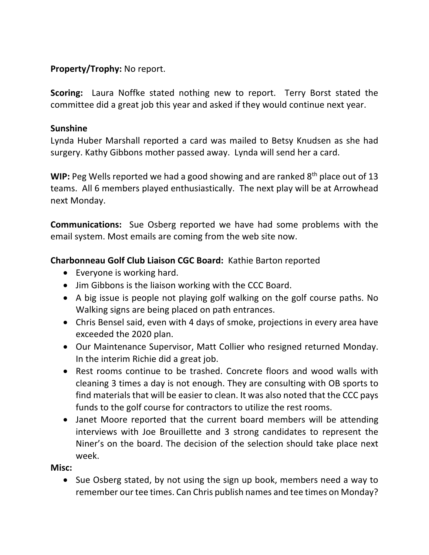# **Property/Trophy:** No report.

**Scoring:** Laura Noffke stated nothing new to report. Terry Borst stated the committee did a great job this year and asked if they would continue next year.

## **Sunshine**

Lynda Huber Marshall reported a card was mailed to Betsy Knudsen as she had surgery. Kathy Gibbons mother passed away. Lynda will send her a card.

**WIP:** Peg Wells reported we had a good showing and are ranked 8<sup>th</sup> place out of 13 teams. All 6 members played enthusiastically. The next play will be at Arrowhead next Monday.

**Communications:** Sue Osberg reported we have had some problems with the email system. Most emails are coming from the web site now.

## **Charbonneau Golf Club Liaison CGC Board:** Kathie Barton reported

- Everyone is working hard.
- Jim Gibbons is the liaison working with the CCC Board.
- A big issue is people not playing golf walking on the golf course paths. No Walking signs are being placed on path entrances.
- Chris Bensel said, even with 4 days of smoke, projections in every area have exceeded the 2020 plan.
- Our Maintenance Supervisor, Matt Collier who resigned returned Monday. In the interim Richie did a great job.
- Rest rooms continue to be trashed. Concrete floors and wood walls with cleaning 3 times a day is not enough. They are consulting with OB sports to find materials that will be easier to clean. It was also noted that the CCC pays funds to the golf course for contractors to utilize the rest rooms.
- Janet Moore reported that the current board members will be attending interviews with Joe Brouillette and 3 strong candidates to represent the Niner's on the board. The decision of the selection should take place next week.

## **Misc:**

• Sue Osberg stated, by not using the sign up book, members need a way to remember our tee times. Can Chris publish names and tee times on Monday?